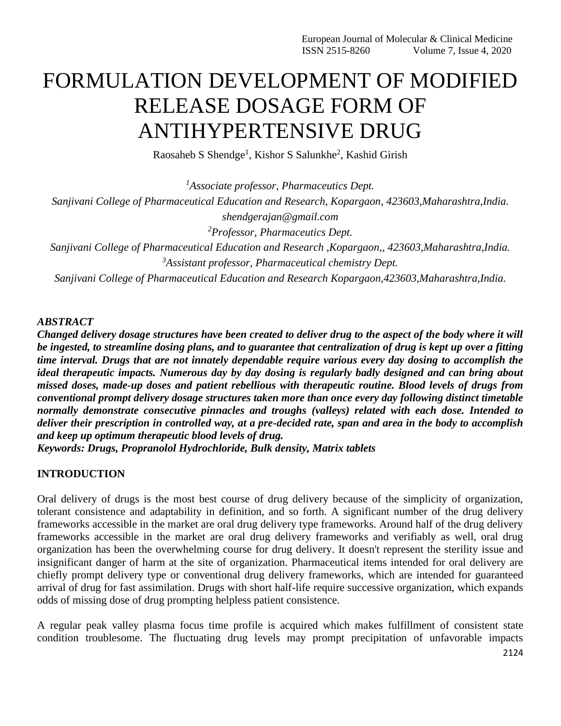# FORMULATION DEVELOPMENT OF MODIFIED RELEASE DOSAGE FORM OF ANTIHYPERTENSIVE DRUG

Raosaheb S Shendge<sup>1</sup>, Kishor S Salunkhe<sup>2</sup>, Kashid Girish

*<sup>1</sup>Associate professor, Pharmaceutics Dept. Sanjivani College of Pharmaceutical Education and Research, Kopargaon, 423603,Maharashtra,India.*

*shendgerajan@gmail.com*

*<sup>2</sup>Professor, Pharmaceutics Dept.*

*Sanjivani College of Pharmaceutical Education and Research ,Kopargaon,, 423603,Maharashtra,India. <sup>3</sup>Assistant professor, Pharmaceutical chemistry Dept.*

*Sanjivani College of Pharmaceutical Education and Research Kopargaon,423603,Maharashtra,India.*

## *ABSTRACT*

*Changed delivery dosage structures have been created to deliver drug to the aspect of the body where it will be ingested, to streamline dosing plans, and to guarantee that centralization of drug is kept up over a fitting time interval. Drugs that are not innately dependable require various every day dosing to accomplish the ideal therapeutic impacts. Numerous day by day dosing is regularly badly designed and can bring about missed doses, made-up doses and patient rebellious with therapeutic routine. Blood levels of drugs from conventional prompt delivery dosage structures taken more than once every day following distinct timetable normally demonstrate consecutive pinnacles and troughs (valleys) related with each dose. Intended to deliver their prescription in controlled way, at a pre-decided rate, span and area in the body to accomplish and keep up optimum therapeutic blood levels of drug.*

*Keywords: Drugs, Propranolol Hydrochloride, Bulk density, Matrix tablets*

# **INTRODUCTION**

Oral delivery of drugs is the most best course of drug delivery because of the simplicity of organization, tolerant consistence and adaptability in definition, and so forth. A significant number of the drug delivery frameworks accessible in the market are oral drug delivery type frameworks. Around half of the drug delivery frameworks accessible in the market are oral drug delivery frameworks and verifiably as well, oral drug organization has been the overwhelming course for drug delivery. It doesn't represent the sterility issue and insignificant danger of harm at the site of organization. Pharmaceutical items intended for oral delivery are chiefly prompt delivery type or conventional drug delivery frameworks, which are intended for guaranteed arrival of drug for fast assimilation. Drugs with short half-life require successive organization, which expands odds of missing dose of drug prompting helpless patient consistence.

A regular peak valley plasma focus time profile is acquired which makes fulfillment of consistent state condition troublesome. The fluctuating drug levels may prompt precipitation of unfavorable impacts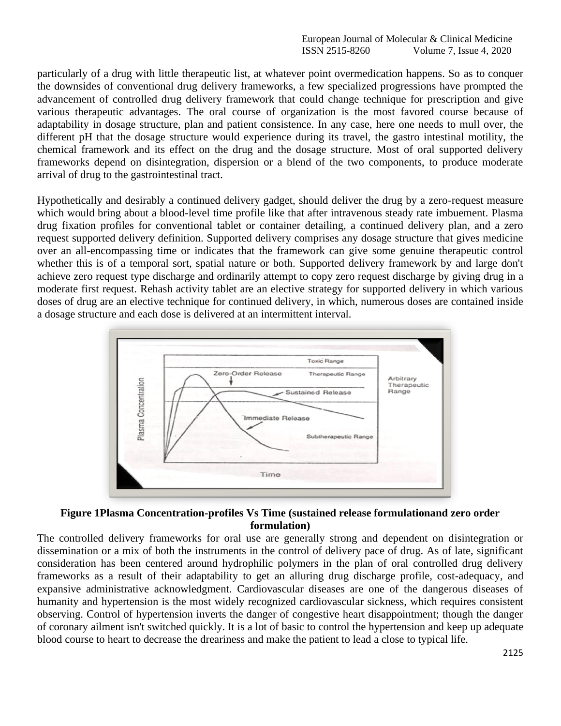particularly of a drug with little therapeutic list, at whatever point overmedication happens. So as to conquer the downsides of conventional drug delivery frameworks, a few specialized progressions have prompted the advancement of controlled drug delivery framework that could change technique for prescription and give various therapeutic advantages. The oral course of organization is the most favored course because of adaptability in dosage structure, plan and patient consistence. In any case, here one needs to mull over, the different pH that the dosage structure would experience during its travel, the gastro intestinal motility, the chemical framework and its effect on the drug and the dosage structure. Most of oral supported delivery frameworks depend on disintegration, dispersion or a blend of the two components, to produce moderate arrival of drug to the gastrointestinal tract.

Hypothetically and desirably a continued delivery gadget, should deliver the drug by a zero-request measure which would bring about a blood-level time profile like that after intravenous steady rate imbuement. Plasma drug fixation profiles for conventional tablet or container detailing, a continued delivery plan, and a zero request supported delivery definition. Supported delivery comprises any dosage structure that gives medicine over an all-encompassing time or indicates that the framework can give some genuine therapeutic control whether this is of a temporal sort, spatial nature or both. Supported delivery framework by and large don't achieve zero request type discharge and ordinarily attempt to copy zero request discharge by giving drug in a moderate first request. Rehash activity tablet are an elective strategy for supported delivery in which various doses of drug are an elective technique for continued delivery, in which, numerous doses are contained inside a dosage structure and each dose is delivered at an intermittent interval.





The controlled delivery frameworks for oral use are generally strong and dependent on disintegration or dissemination or a mix of both the instruments in the control of delivery pace of drug. As of late, significant consideration has been centered around hydrophilic polymers in the plan of oral controlled drug delivery frameworks as a result of their adaptability to get an alluring drug discharge profile, cost-adequacy, and expansive administrative acknowledgment. Cardiovascular diseases are one of the dangerous diseases of humanity and hypertension is the most widely recognized cardiovascular sickness, which requires consistent observing. Control of hypertension inverts the danger of congestive heart disappointment; though the danger of coronary ailment isn't switched quickly. It is a lot of basic to control the hypertension and keep up adequate blood course to heart to decrease the dreariness and make the patient to lead a close to typical life.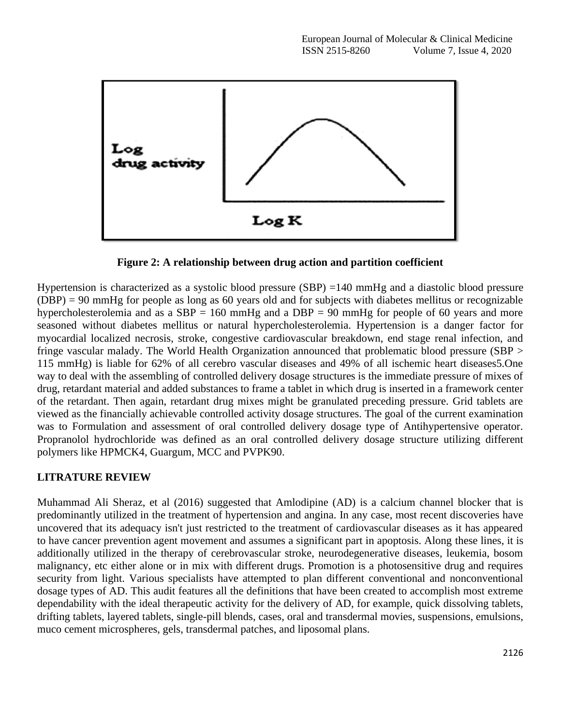

**Figure 2: A relationship between drug action and partition coefficient**

Hypertension is characterized as a systolic blood pressure (SBP) =140 mmHg and a diastolic blood pressure (DBP) = 90 mmHg for people as long as 60 years old and for subjects with diabetes mellitus or recognizable hypercholesterolemia and as a  $SBP = 160$  mmHg and a  $DBP = 90$  mmHg for people of 60 years and more seasoned without diabetes mellitus or natural hypercholesterolemia. Hypertension is a danger factor for myocardial localized necrosis, stroke, congestive cardiovascular breakdown, end stage renal infection, and fringe vascular malady. The World Health Organization announced that problematic blood pressure (SBP > 115 mmHg) is liable for 62% of all cerebro vascular diseases and 49% of all ischemic heart diseases5.One way to deal with the assembling of controlled delivery dosage structures is the immediate pressure of mixes of drug, retardant material and added substances to frame a tablet in which drug is inserted in a framework center of the retardant. Then again, retardant drug mixes might be granulated preceding pressure. Grid tablets are viewed as the financially achievable controlled activity dosage structures. The goal of the current examination was to Formulation and assessment of oral controlled delivery dosage type of Antihypertensive operator. Propranolol hydrochloride was defined as an oral controlled delivery dosage structure utilizing different polymers like HPMCK4, Guargum, MCC and PVPK90.

#### **LITRATURE REVIEW**

Muhammad Ali Sheraz, et al (2016) suggested that Amlodipine (AD) is a calcium channel blocker that is predominantly utilized in the treatment of hypertension and angina. In any case, most recent discoveries have uncovered that its adequacy isn't just restricted to the treatment of cardiovascular diseases as it has appeared to have cancer prevention agent movement and assumes a significant part in apoptosis. Along these lines, it is additionally utilized in the therapy of cerebrovascular stroke, neurodegenerative diseases, leukemia, bosom malignancy, etc either alone or in mix with different drugs. Promotion is a photosensitive drug and requires security from light. Various specialists have attempted to plan different conventional and nonconventional dosage types of AD. This audit features all the definitions that have been created to accomplish most extreme dependability with the ideal therapeutic activity for the delivery of AD, for example, quick dissolving tablets, drifting tablets, layered tablets, single-pill blends, cases, oral and transdermal movies, suspensions, emulsions, muco cement microspheres, gels, transdermal patches, and liposomal plans.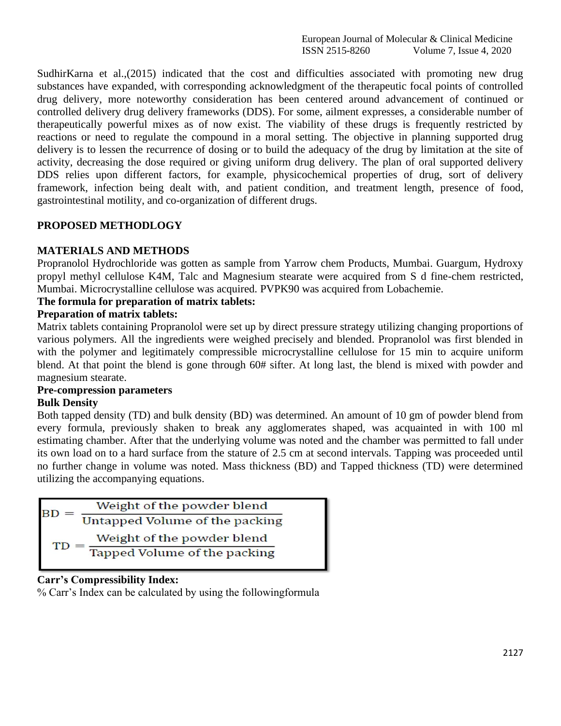European Journal of Molecular & Clinical Medicine ISSN 2515-8260 Volume 7, Issue 4, 2020

SudhirKarna et al.,(2015) indicated that the cost and difficulties associated with promoting new drug substances have expanded, with corresponding acknowledgment of the therapeutic focal points of controlled drug delivery, more noteworthy consideration has been centered around advancement of continued or controlled delivery drug delivery frameworks (DDS). For some, ailment expresses, a considerable number of therapeutically powerful mixes as of now exist. The viability of these drugs is frequently restricted by reactions or need to regulate the compound in a moral setting. The objective in planning supported drug delivery is to lessen the recurrence of dosing or to build the adequacy of the drug by limitation at the site of activity, decreasing the dose required or giving uniform drug delivery. The plan of oral supported delivery DDS relies upon different factors, for example, physicochemical properties of drug, sort of delivery framework, infection being dealt with, and patient condition, and treatment length, presence of food, gastrointestinal motility, and co-organization of different drugs.

## **PROPOSED METHODLOGY**

#### **MATERIALS AND METHODS**

Propranolol Hydrochloride was gotten as sample from Yarrow chem Products, Mumbai. Guargum, Hydroxy propyl methyl cellulose K4M, Talc and Magnesium stearate were acquired from S d fine-chem restricted, Mumbai. Microcrystalline cellulose was acquired. PVPK90 was acquired from Lobachemie.

#### **The formula for preparation of matrix tablets:**

## **Preparation of matrix tablets:**

Matrix tablets containing Propranolol were set up by direct pressure strategy utilizing changing proportions of various polymers. All the ingredients were weighed precisely and blended. Propranolol was first blended in with the polymer and legitimately compressible microcrystalline cellulose for 15 min to acquire uniform blend. At that point the blend is gone through 60# sifter. At long last, the blend is mixed with powder and magnesium stearate.

#### **Pre-compression parameters Bulk Density**

Both tapped density (TD) and bulk density (BD) was determined. An amount of 10 gm of powder blend from every formula, previously shaken to break any agglomerates shaped, was acquainted in with 100 ml estimating chamber. After that the underlying volume was noted and the chamber was permitted to fall under its own load on to a hard surface from the stature of 2.5 cm at second intervals. Tapping was proceeded until no further change in volume was noted. Mass thickness (BD) and Tapped thickness (TD) were determined utilizing the accompanying equations.

| BI        | Weight of the powder blend     |
|-----------|--------------------------------|
|           | Untapped Volume of the packing |
| <b>TD</b> | Weight of the powder blend     |
|           | Tapped Volume of the packing   |

#### **Carr's Compressibility Index:**

% Carr's Index can be calculated by using the followingformula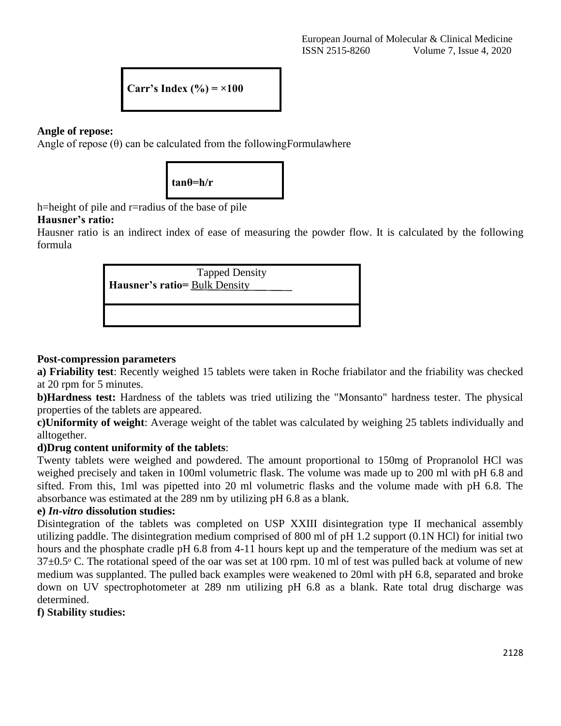Carr's Index 
$$
(\%)
$$
 =  $\times 100$ 

## **Angle of repose:**

Angle of repose  $(\theta)$  can be calculated from the following Formulawhere



h=height of pile and r=radius of the base of pile

# **Hausner's ratio:**

Hausner ratio is an indirect index of ease of measuring the powder flow. It is calculated by the following formula



## **Post-compression parameters**

**a) Friability test**: Recently weighed 15 tablets were taken in Roche friabilator and the friability was checked at 20 rpm for 5 minutes.

**b)Hardness test:** Hardness of the tablets was tried utilizing the "Monsanto" hardness tester. The physical properties of the tablets are appeared.

**c)Uniformity of weight**: Average weight of the tablet was calculated by weighing 25 tablets individually and alltogether.

# **d)Drug content uniformity of the tablets**:

Twenty tablets were weighed and powdered. The amount proportional to 150mg of Propranolol HCl was weighed precisely and taken in 100ml volumetric flask. The volume was made up to 200 ml with pH 6.8 and sifted. From this, 1ml was pipetted into 20 ml volumetric flasks and the volume made with pH 6.8. The absorbance was estimated at the 289 nm by utilizing pH 6.8 as a blank.

#### **e)** *In-vitro* **dissolution studies:**

Disintegration of the tablets was completed on USP XXIII disintegration type II mechanical assembly utilizing paddle. The disintegration medium comprised of 800 ml of pH 1.2 support (0.1N HCl) for initial two hours and the phosphate cradle pH 6.8 from 4-11 hours kept up and the temperature of the medium was set at  $37\pm0.5$ <sup>o</sup> C. The rotational speed of the oar was set at 100 rpm. 10 ml of test was pulled back at volume of new medium was supplanted. The pulled back examples were weakened to 20ml with pH 6.8, separated and broke down on UV spectrophotometer at 289 nm utilizing pH 6.8 as a blank. Rate total drug discharge was determined.

# **f) Stability studies:**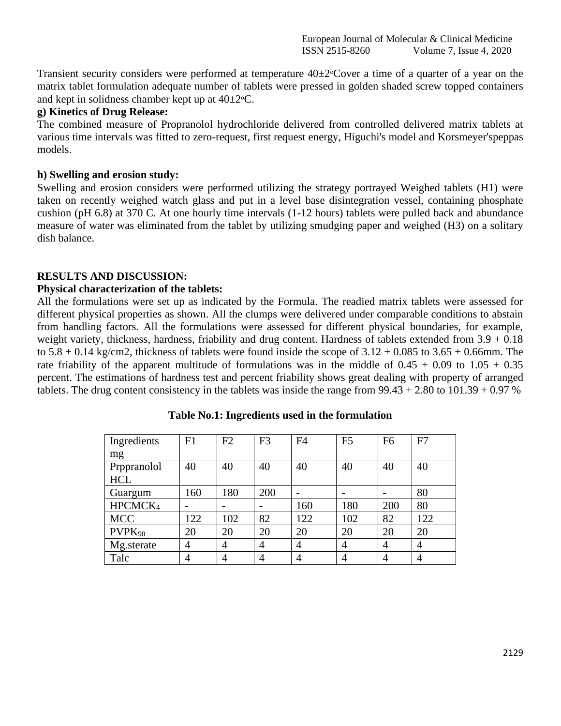Transient security considers were performed at temperature  $40\pm2\degree$ Cover a time of a quarter of a year on the matrix tablet formulation adequate number of tablets were pressed in golden shaded screw topped containers and kept in solidness chamber kept up at  $40\pm2$ <sup>o</sup>C.

#### **g) Kinetics of Drug Release:**

The combined measure of Propranolol hydrochloride delivered from controlled delivered matrix tablets at various time intervals was fitted to zero-request, first request energy, Higuchi's model and Korsmeyer'speppas models.

#### **h) Swelling and erosion study:**

Swelling and erosion considers were performed utilizing the strategy portrayed Weighed tablets (H1) were taken on recently weighed watch glass and put in a level base disintegration vessel, containing phosphate cushion (pH 6.8) at 370 C. At one hourly time intervals (1-12 hours) tablets were pulled back and abundance measure of water was eliminated from the tablet by utilizing smudging paper and weighed (H3) on a solitary dish balance.

#### **RESULTS AND DISCUSSION:**

#### **Physical characterization of the tablets:**

All the formulations were set up as indicated by the Formula. The readied matrix tablets were assessed for different physical properties as shown. All the clumps were delivered under comparable conditions to abstain from handling factors. All the formulations were assessed for different physical boundaries, for example, weight variety, thickness, hardness, friability and drug content. Hardness of tablets extended from 3.9 + 0.18 to  $5.8 + 0.14$  kg/cm2, thickness of tablets were found inside the scope of  $3.12 + 0.085$  to  $3.65 + 0.66$ mm. The rate friability of the apparent multitude of formulations was in the middle of  $0.45 + 0.09$  to  $1.05 + 0.35$ percent. The estimations of hardness test and percent friability shows great dealing with property of arranged tablets. The drug content consistency in the tablets was inside the range from  $99.43 + 2.80$  to  $101.39 + 0.97$  %

| Ingredients<br>mg         | F1  | F2             | F <sub>3</sub> | F <sub>4</sub> | F <sub>5</sub> | F <sub>6</sub> | F7             |
|---------------------------|-----|----------------|----------------|----------------|----------------|----------------|----------------|
| Prppranolol<br><b>HCL</b> | 40  | 40             | 40             | 40             | 40             | 40             | 40             |
| Guargum                   | 160 | 180            | 200            |                |                |                | 80             |
| HPCMCK <sub>4</sub>       |     |                |                | 160            | 180            | 200            | 80             |
| <b>MCC</b>                | 122 | 102            | 82             | 122            | 102            | 82             | 122            |
| PVPK <sub>90</sub>        | 20  | 20             | 20             | 20             | 20             | 20             | 20             |
| Mg.sterate                | 4   | 4              | 4              | 4              | 4              | 4              | 4              |
| Talc                      | 4   | $\overline{4}$ | 4              | 4              | 4              | 4              | $\overline{4}$ |

**Table No.1: Ingredients used in the formulation**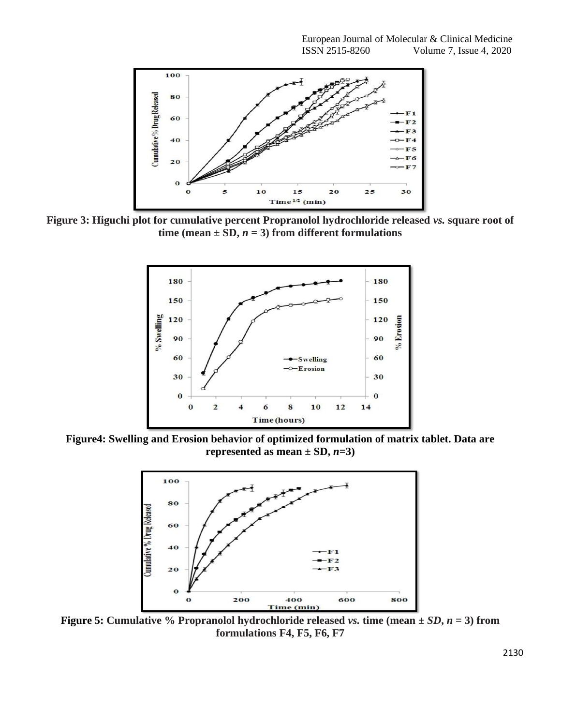

**Figure 3: Higuchi plot for cumulative percent Propranolol hydrochloride released** *vs.* **square root of time (mean**  $\pm$  **SD,** *n* **= 3) from different formulations** 



**Figure4: Swelling and Erosion behavior of optimized formulation of matrix tablet. Data are represented as mean**  $\pm$  SD,  $n=3$ )



**Figure 5:** Cumulative % Propranolol hydrochloride released *vs.* time (mean  $\pm SD$ ,  $n = 3$ ) from **formulations F4, F5, F6, F7**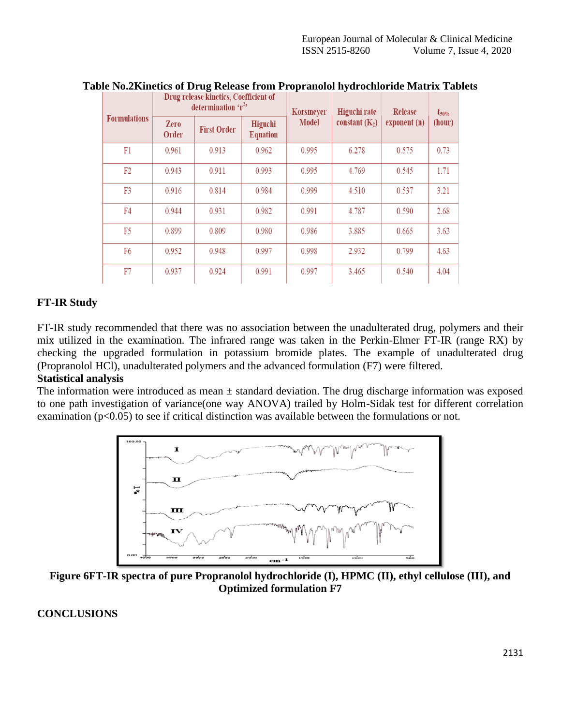| <b>Formulations</b> | Drug release kinetics, Coefficient of<br>determination $r^2$ , |                    |                            | Korsmeyer    | Higuchi rate     | Release      | $t_{50\%}$ |
|---------------------|----------------------------------------------------------------|--------------------|----------------------------|--------------|------------------|--------------|------------|
|                     | <b>Zero</b><br>Order                                           | <b>First Order</b> | Higuchi<br><b>Equation</b> | <b>Model</b> | constant $(K_2)$ | exponent (n) | (hour)     |
| F1                  | 0.961                                                          | 0.913              | 0.962                      | 0.995        | 6.278            | 0.575        | 0.73       |
| F <sub>2</sub>      | 0.943                                                          | 0.911              | 0.993                      | 0.995        | 4.769            | 0.545        | 1.71       |
| F3                  | 0.916                                                          | 0.814              | 0.984                      | 0.999        | 4.510            | 0.537        | 3.21       |
| F4                  | 0.944                                                          | 0.931              | 0.982                      | 0.991        | 4.787            | 0.590        | 2.68       |
| F5                  | 0.899                                                          | 0.809              | 0.980                      | 0.986        | 3.885            | 0.665        | 3.63       |
| F <sub>6</sub>      | 0.952                                                          | 0.948              | 0.997                      | 0.998        | 2.932            | 0.799        | 4.63       |
| F7                  | 0.937                                                          | 0.924              | 0.991                      | 0.997        | 3.465            | 0.540        | 4.04       |

#### **Table No.2Kinetics of Drug Release from Propranolol hydrochloride Matrix Tablets**

## **FT-IR Study**

FT-IR study recommended that there was no association between the unadulterated drug, polymers and their mix utilized in the examination. The infrared range was taken in the Perkin-Elmer FT-IR (range RX) by checking the upgraded formulation in potassium bromide plates. The example of unadulterated drug (Propranolol HCl), unadulterated polymers and the advanced formulation (F7) were filtered.

# **Statistical analysis**

The information were introduced as mean  $\pm$  standard deviation. The drug discharge information was exposed to one path investigation of variance(one way ANOVA) trailed by Holm-Sidak test for different correlation examination (p<0.05) to see if critical distinction was available between the formulations or not.



**Figure 6FT-IR spectra of pure Propranolol hydrochloride (I), HPMC (II), ethyl cellulose (III), and Optimized formulation F7**

#### **CONCLUSIONS**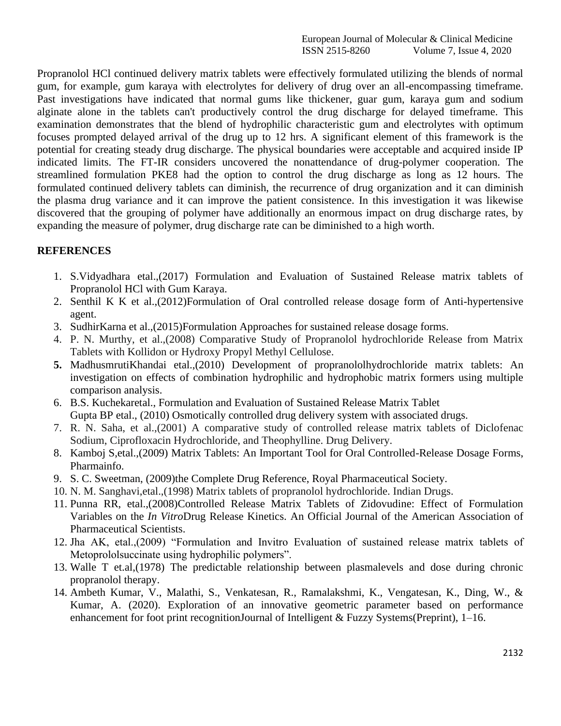Propranolol HCl continued delivery matrix tablets were effectively formulated utilizing the blends of normal gum, for example, gum karaya with electrolytes for delivery of drug over an all-encompassing timeframe. Past investigations have indicated that normal gums like thickener, guar gum, karaya gum and sodium alginate alone in the tablets can't productively control the drug discharge for delayed timeframe. This examination demonstrates that the blend of hydrophilic characteristic gum and electrolytes with optimum focuses prompted delayed arrival of the drug up to 12 hrs. A significant element of this framework is the potential for creating steady drug discharge. The physical boundaries were acceptable and acquired inside IP indicated limits. The FT-IR considers uncovered the nonattendance of drug-polymer cooperation. The streamlined formulation PKE8 had the option to control the drug discharge as long as 12 hours. The formulated continued delivery tablets can diminish, the recurrence of drug organization and it can diminish the plasma drug variance and it can improve the patient consistence. In this investigation it was likewise discovered that the grouping of polymer have additionally an enormous impact on drug discharge rates, by expanding the measure of polymer, drug discharge rate can be diminished to a high worth.

# **REFERENCES**

- 1. S.Vidyadhara etal.,(2017) Formulation and Evaluation of Sustained Release matrix tablets of Propranolol HCl with Gum Karaya.
- 2. Senthil K K et al.,(2012)Formulation of Oral controlled release dosage form of Anti-hypertensive agent.
- 3. SudhirKarna et al.,(2015)Formulation Approaches for sustained release dosage forms.
- 4. P. N. Murthy, et al.,(2008) Comparative Study of Propranolol hydrochloride Release from Matrix Tablets with Kollidon or Hydroxy Propyl Methyl Cellulose.
- **5.** MadhusmrutiKhandai etal.,(2010) Development of propranololhydrochloride matrix tablets: An investigation on effects of combination hydrophilic and hydrophobic matrix formers using multiple comparison analysis.
- 6. B.S. Kuchekaretal., Formulation and Evaluation of Sustained Release Matrix Tablet Gupta BP etal., (2010) Osmotically controlled drug delivery system with associated drugs.
- 7. R. N. Saha, et al.,(2001) A comparative study of controlled release matrix tablets of Diclofenac Sodium, Ciprofloxacin Hydrochloride, and Theophylline. Drug Delivery.
- 8. Kamboj S,etal.,(2009) Matrix Tablets: An Important Tool for Oral Controlled-Release Dosage Forms, Pharmainfo.
- 9. S. C. Sweetman, (2009)the Complete Drug Reference, Royal Pharmaceutical Society.
- 10. N. M. Sanghavi,etal.,(1998) Matrix tablets of propranolol hydrochloride. Indian Drugs.
- 11. Punna RR, etal.,(2008)Controlled Release Matrix Tablets of Zidovudine: Effect of Formulation Variables on the *In Vitro*Drug Release Kinetics. An Official Journal of the American Association of Pharmaceutical Scientists.
- 12. Jha AK, etal.,(2009) "Formulation and Invitro Evaluation of sustained release matrix tablets of Metoprololsuccinate using hydrophilic polymers".
- 13. Walle T et.al,(1978) The predictable relationship between plasmalevels and dose during chronic propranolol therapy.
- 14. Ambeth Kumar, V., Malathi, S., Venkatesan, R., Ramalakshmi, K., Vengatesan, K., Ding, W., & Kumar, A. (2020). Exploration of an innovative geometric parameter based on performance enhancement for foot print recognitionJournal of Intelligent & Fuzzy Systems(Preprint), 1–16.